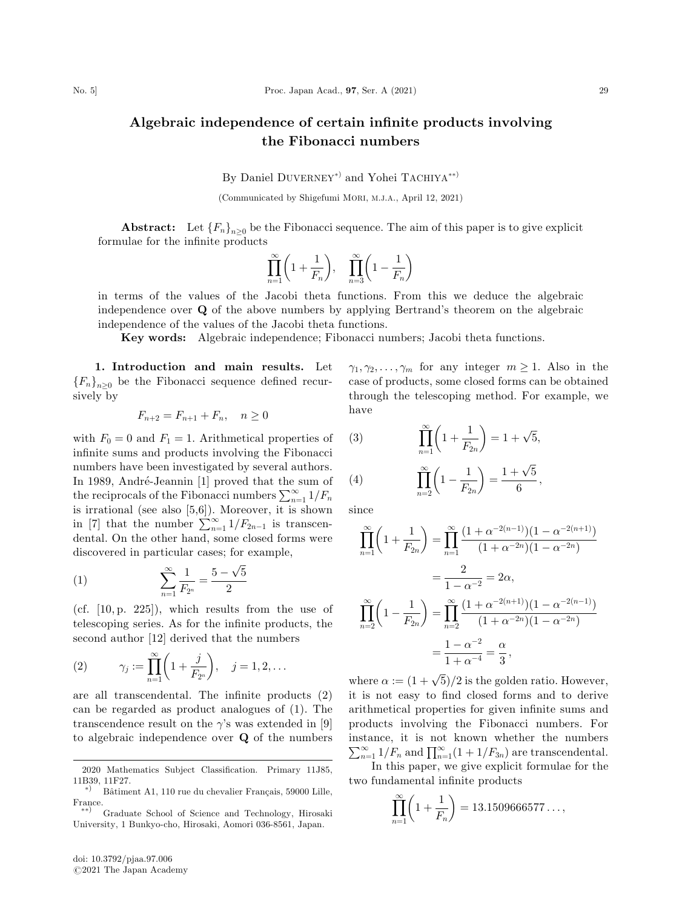## Algebraic independence of certain infinite products involving the Fibonacci numbers

By Daniel DUVERNEY<sup>\*</sup> and Yohei TACHIYA<sup>\*\*</sup>

(Communicated by Shigefumi MORI, M.J.A., April 12, 2021)

**Abstract:** Let  ${F_n}_{n\geq0}$  be the Fibonacci sequence. The aim of this paper is to give explicit formulae for the infinite products

$$
\prod_{n=1}^{\infty} \left( 1 + \frac{1}{F_n} \right), \quad \prod_{n=3}^{\infty} \left( 1 - \frac{1}{F_n} \right)
$$

in terms of the values of the Jacobi theta functions. From this we deduce the algebraic independence over Q of the above numbers by applying Bertrand's theorem on the algebraic independence of the values of the Jacobi theta functions.

Key words: Algebraic independence; Fibonacci numbers; Jacobi theta functions.

1. Introduction and main results. Let  ${F_n}_{n>0}$  be the Fibonacci sequence defined recursively by

$$
F_{n+2} = F_{n+1} + F_n, \quad n \ge 0
$$

with  $F_0 = 0$  and  $F_1 = 1$ . Arithmetical properties of infinite sums and products involving the Fibonacci numbers have been investigated by several authors. In 1989, André-Jeannin [1] proved that the sum of the reciprocals of the Fibonacci numbers  $\sum_{n=1}^{\infty} 1/F_n$ is irrational (see also [5,6]). Moreover, it is shown<br>in [7] that the number  $\sum_{n=1}^{\infty} 1/F_{2n-1}$  is transcendental. On the other hand, some closed forms were discovered in particular cases; for example,

(1) 
$$
\sum_{n=1}^{\infty} \frac{1}{F_{2^n}} = \frac{5 - \sqrt{5}}{2}
$$

(cf.  $[10, p. 225]$ ), which results from the use of telescoping series. As for the infinite products, the second author [12] derived that the numbers

(2) 
$$
\gamma_j := \prod_{n=1}^{\infty} \left( 1 + \frac{j}{F_{2^n}} \right), \quad j = 1, 2, ...
$$

are all transcendental. The infinite products (2) can be regarded as product analogues of (1). The transcendence result on the  $\gamma$ 's was extended in [9] to algebraic independence over Q of the numbers

 $\gamma_1, \gamma_2, \ldots, \gamma_m$  for any integer  $m \geq 1$ . Also in the case of products, some closed forms can be obtained through the telescoping method. For example, we have

(3) 
$$
\prod_{n=1}^{\infty} \left( 1 + \frac{1}{F_{2n}} \right) = 1 + \sqrt{5},
$$

(4) 
$$
\prod_{n=2}^{\infty} \left(1 - \frac{1}{F_{2n}}\right) = \frac{1 + \sqrt{5}}{6},
$$

since

$$
\prod_{n=1}^{\infty} \left( 1 + \frac{1}{F_{2n}} \right) = \prod_{n=1}^{\infty} \frac{\left( 1 + \alpha^{-2(n-1)} \right) \left( 1 - \alpha^{-2(n+1)} \right)}{\left( 1 + \alpha^{-2n} \right) \left( 1 - \alpha^{-2n} \right)}
$$
\n
$$
= \frac{2}{1 - \alpha^{-2}} = 2\alpha,
$$
\n
$$
\prod_{n=2}^{\infty} \left( 1 - \frac{1}{F_{2n}} \right) = \prod_{n=2}^{\infty} \frac{\left( 1 + \alpha^{-2(n+1)} \right) \left( 1 - \alpha^{-2(n-1)} \right)}{\left( 1 + \alpha^{-2n} \right) \left( 1 - \alpha^{-2n} \right)}
$$
\n
$$
= \frac{1 - \alpha^{-2}}{1 + \alpha^{-4}} = \frac{\alpha}{3},
$$

where  $\alpha := (1 + \sqrt{5})/2$  is the golden ratio. However, it is not easy to find closed forms and to derive arithmetical properties for given infinite sums and products involving the Fibonacci numbers. For instance, it is not known whether the numbers  $\sum_{n=1}^{\infty} 1/F_n$  and  $\prod_{n=1}^{\infty} (1+1/F_{3n})$  are transcendental.

In this paper, we give explicit formulae for the two fundamental infinite products

$$
\prod_{n=1}^{\infty} \left( 1 + \frac{1}{F_n} \right) = 13.1509666577\dots,
$$

<sup>2020</sup> Mathematics Subject Classification. Primary 11J85, 11B39, 11F27.

<sup>\*)</sup>  $\hat{B}$  Bâtiment A1, 110 rue du chevalier Français, 59000 Lille, France.

<sup>-</sup>-<sup>Þ</sup> Graduate School of Science and Technology, Hirosaki University, 1 Bunkyo-cho, Hirosaki, Aomori 036-8561, Japan.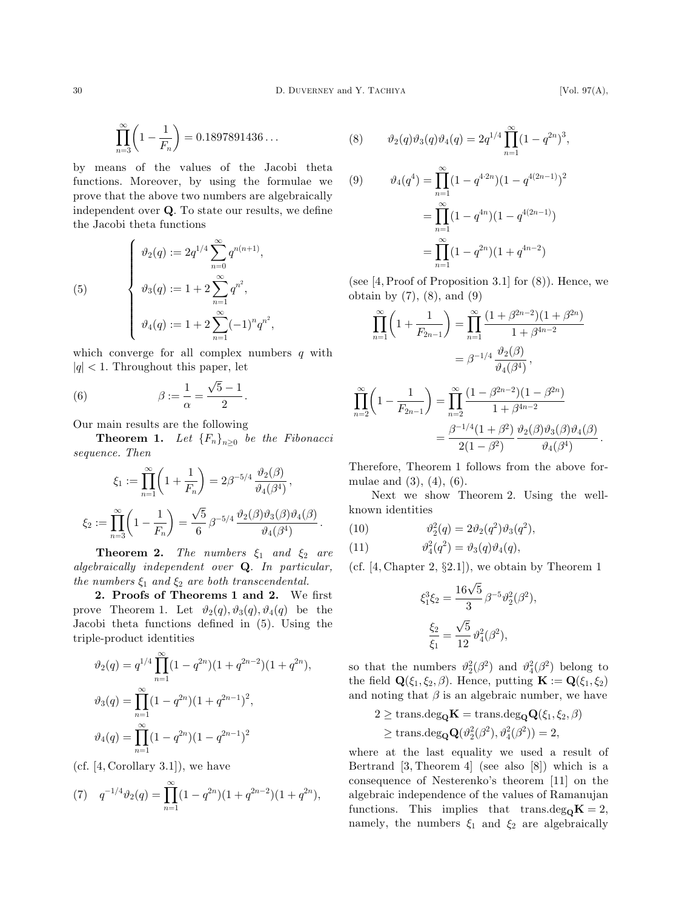$$
\prod_{n=3}^{\infty} \left(1 - \frac{1}{F_n}\right) = 0.1897891436\dots
$$

by means of the values of the Jacobi theta functions. Moreover, by using the formulae we prove that the above two numbers are algebraically independent over Q. To state our results, we define the Jacobi theta functions

(5) 
$$
\begin{cases} \vartheta_2(q) := 2q^{1/4} \sum_{n=0}^{\infty} q^{n(n+1)}, \\ \vartheta_3(q) := 1 + 2 \sum_{n=1}^{\infty} q^{n^2}, \\ \vartheta_4(q) := 1 + 2 \sum_{n=1}^{\infty} (-1)^n q^{n^2}, \end{cases}
$$

which converge for all complex numbers  $q$  with  $|q|$  < 1. Throughout this paper, let

(6) 
$$
\beta := \frac{1}{\alpha} = \frac{\sqrt{5} - 1}{2}.
$$

Our main results are the following

**Theorem 1.** Let  ${F_n}_{n>0}$  be the Fibonacci sequence. Then

$$
\begin{aligned} \xi_1&:=\prod_{n=1}^\infty\biggl(1+\frac{1}{F_n}\biggr)=2\beta^{-5/4}\,\frac{\vartheta_2(\beta)}{\vartheta_4(\beta^4)}\,,\\ \xi_2&:=\prod_{n=3}^\infty\biggl(1-\frac{1}{F_n}\biggr)=\frac{\sqrt{5}}{6}\,\beta^{-5/4}\,\frac{\vartheta_2(\beta)\vartheta_3(\beta)\vartheta_4(\beta)}{\vartheta_4(\beta^4)}\,. \end{aligned}
$$

**Theorem 2.** The numbers  $\xi_1$  and  $\xi_2$  are algebraically independent over Q. In particular, the numbers  $\xi_1$  and  $\xi_2$  are both transcendental.

2. Proofs of Theorems 1 and 2. We first prove Theorem 1. Let  $\vartheta_2(q), \vartheta_3(q), \vartheta_4(q)$  be the Jacobi theta functions defined in (5). Using the triple-product identities

$$
\vartheta_2(q) = q^{1/4} \prod_{n=1}^{\infty} (1 - q^{2n})(1 + q^{2n-2})(1 + q^{2n}),
$$
  

$$
\vartheta_3(q) = \prod_{n=1}^{\infty} (1 - q^{2n})(1 + q^{2n-1})^2,
$$
  

$$
\vartheta_4(q) = \prod_{n=1}^{\infty} (1 - q^{2n})(1 - q^{2n-1})^2
$$

 $(cf. [4, Corollary 3.1]),$  we have

(7) 
$$
q^{-1/4}\vartheta_2(q) = \prod_{n=1}^{\infty} (1 - q^{2n})(1 + q^{2n-2})(1 + q^{2n}),
$$

(8) 
$$
\vartheta_2(q)\vartheta_3(q)\vartheta_4(q) = 2q^{1/4} \prod_{n=1}^{\infty} (1 - q^{2n})^3,
$$

(9) 
$$
\vartheta_4(q^4) = \prod_{n=1}^{\infty} (1 - q^{4 \cdot 2n}) (1 - q^{4(2n-1)})^2
$$

$$
= \prod_{n=1}^{\infty} (1 - q^{4n}) (1 - q^{4(2n-1)})
$$

$$
= \prod_{n=1}^{\infty} (1 - q^{2n}) (1 + q^{4n-2})
$$

(see  $[4, Proof of Proposition 3.1]$  for  $(8)$ ). Hence, we obtain by  $(7)$ ,  $(8)$ , and  $(9)$ 

$$
\prod_{n=1}^{\infty} \left( 1 + \frac{1}{F_{2n-1}} \right) = \prod_{n=1}^{\infty} \frac{(1 + \beta^{2n-2})(1 + \beta^{2n})}{1 + \beta^{4n-2}}
$$

$$
= \beta^{-1/4} \frac{\vartheta_2(\beta)}{\vartheta_4(\beta^4)},
$$

$$
\prod_{n=2}^{\infty} \left( 1 - \frac{1}{F_{2n-1}} \right) = \prod_{n=2}^{\infty} \frac{(1 - \beta^{2n-2})(1 - \beta^{2n})}{1 + \beta^{4n-2}}
$$

$$
= \frac{\beta^{-1/4}(1 + \beta^2)}{2(1 - \beta^2)} \frac{\vartheta_2(\beta)\vartheta_3(\beta)\vartheta_4(\beta)}{\vartheta_4(\beta^4)}
$$

Therefore, Theorem 1 follows from the above formulae and  $(3)$ ,  $(4)$ ,  $(6)$ .

Next we show Theorem 2. Using the wellknown identities

(10) 
$$
\vartheta_2^2(q) = 2\vartheta_2(q^2)\vartheta_3(q^2),
$$

(11) 
$$
\vartheta_4^2(q^2) = \vartheta_3(q)\vartheta_4(q),
$$

(cf.  $[4, Chapter 2, §2.1]$ ), we obtain by Theorem 1

$$
\xi_1^3 \xi_2 = \frac{16\sqrt{5}}{3} \beta^{-5} \vartheta_2^2(\beta^2),
$$
  

$$
\frac{\xi_2}{\xi_1} = \frac{\sqrt{5}}{12} \vartheta_4^2(\beta^2),
$$

so that the numbers  $\vartheta_2^2(\beta^2)$  and  $\vartheta_4^2(\beta^2)$  belong to the field  $\mathbf{Q}(\xi_1, \xi_2, \beta)$ . Hence, putting  $\mathbf{K} := \mathbf{Q}(\xi_1, \xi_2)$ and noting that  $\beta$  is an algebraic number, we have

$$
2 \geq \text{trans.deg}_{\mathbf{Q}}\mathbf{K} = \text{trans.deg}_{\mathbf{Q}}\mathbf{Q}(\xi_1, \xi_2, \beta)
$$
  

$$
\geq \text{trans.deg}_{\mathbf{Q}}\mathbf{Q}(\vartheta_2^2(\beta^2), \vartheta_4^2(\beta^2)) = 2,
$$

where at the last equality we used a result of Bertrand [3, Theorem 4] (see also [8]) which is a consequence of Nesterenko's theorem [11] on the algebraic independence of the values of Ramanujan functions. This implies that trans.deg<sub>O</sub>K = 2, namely, the numbers  $\xi_1$  and  $\xi_2$  are algebraically